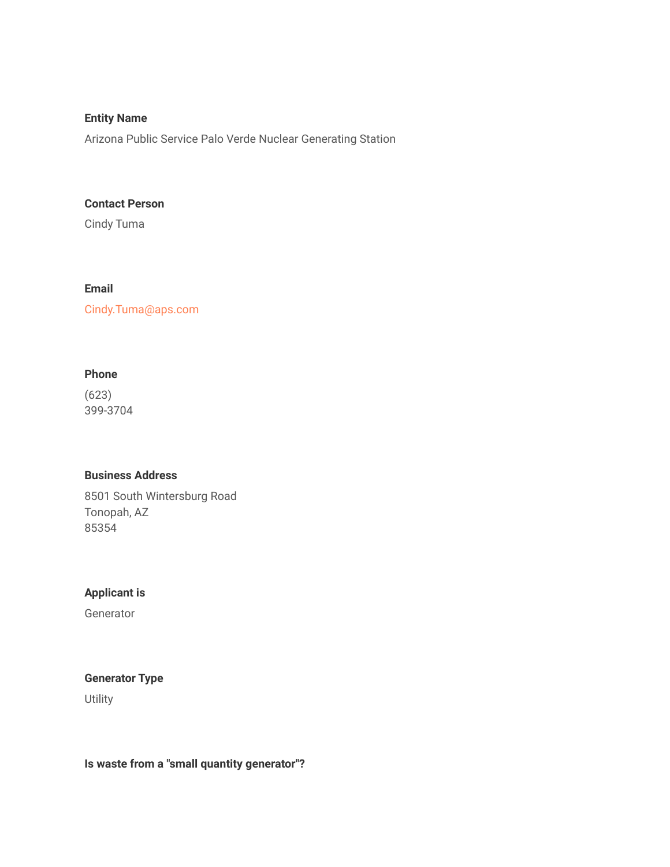# **Entity Name**

Arizona Public Service Palo Verde Nuclear Generating Station

#### **Contact Person**

Cindy Tuma

## **Email**

Cindy.Tuma@aps.com

## **Phone**

(623) 399-3704

## **Business Address**

8501 South Wintersburg Road Tonopah, AZ 85354

#### **Applicant is**

**Generator** 

# **Generator Type**

**Utility** 

**Is waste from a "small quantity generator"?**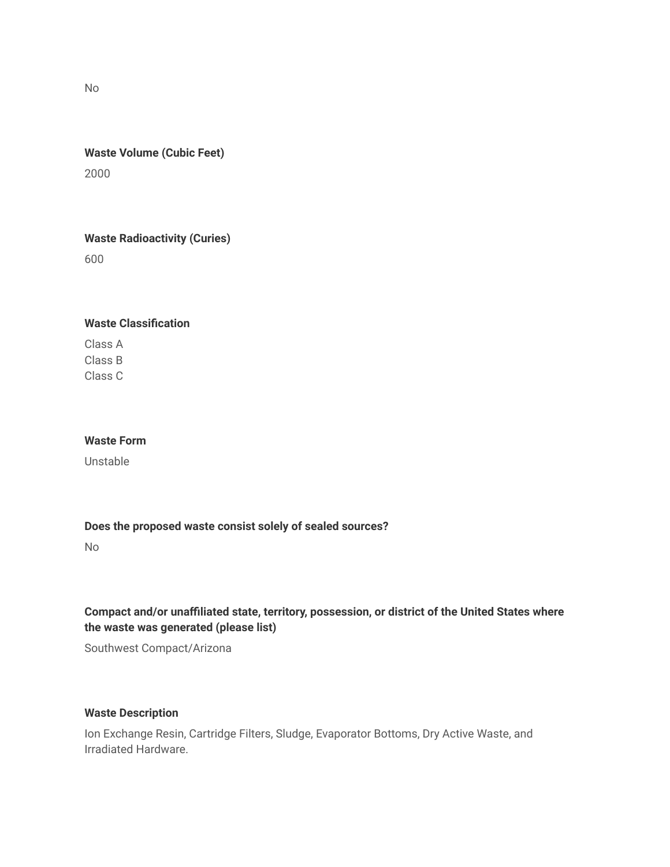No

# **Waste Volume (Cubic Feet)** 2000

**Waste Radioactivity (Curies)** 600

## **Waste Classification**

Class A Class B Class C

## **Waste Form**

Unstable

### **Does the proposed waste consist solely of sealed sources?**

No

# **Compact and/or unaffiliated state, territory, possession, or district of the United States where the waste was generated (please list)**

Southwest Compact/Arizona

## **Waste Description**

Ion Exchange Resin, Cartridge Filters, Sludge, Evaporator Bottoms, Dry Active Waste, and Irradiated Hardware.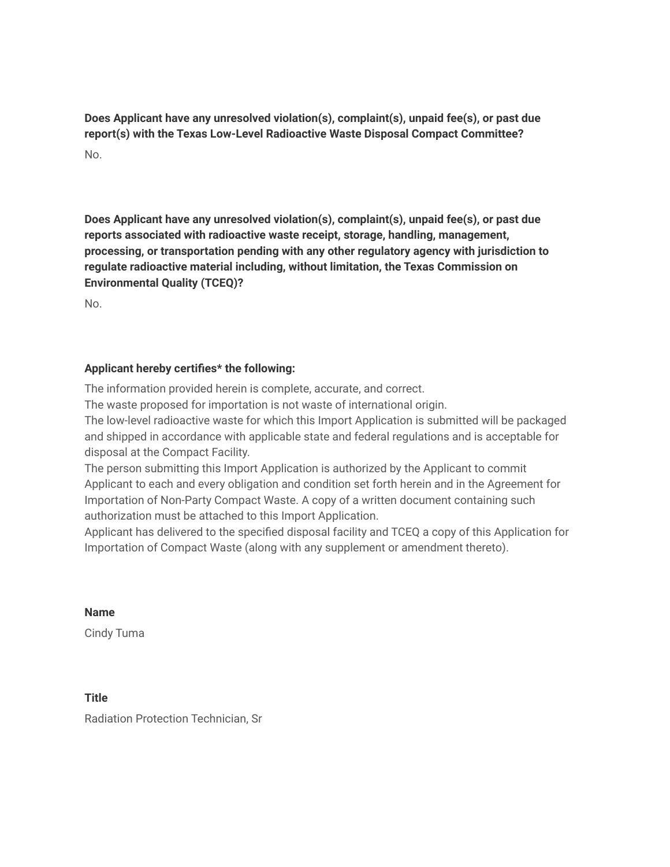**Does Applicant have any unresolved violation(s), complaint(s), unpaid fee(s), or past due report(s) with the Texas Low-Level Radioactive Waste Disposal Compact Committee?**  $N<sub>0</sub>$ 

**Does Applicant have any unresolved violation(s), complaint(s), unpaid fee(s), or past due reports associated with radioactive waste receipt, storage, handling, management, processing, or transportation pending with any other regulatory agency with jurisdiction to regulate radioactive material including, without limitation, the Texas Commission on Environmental Quality (TCEQ)?**

No.

# **Applicant hereby certifies\* the following:**

The information provided herein is complete, accurate, and correct.

The waste proposed for importation is not waste of international origin.

The low-level radioactive waste for which this Import Application is submitted will be packaged and shipped in accordance with applicable state and federal regulations and is acceptable for disposal at the Compact Facility.

The person submitting this Import Application is authorized by the Applicant to commit Applicant to each and every obligation and condition set forth herein and in the Agreement for Importation of Non-Party Compact Waste. A copy of a written document containing such authorization must be attached to this Import Application.

Applicant has delivered to the specified disposal facility and TCEQ a copy of this Application for Importation of Compact Waste (along with any supplement or amendment thereto).

**Name**

Cindy Tuma

**Title** Radiation Protection Technician, Sr